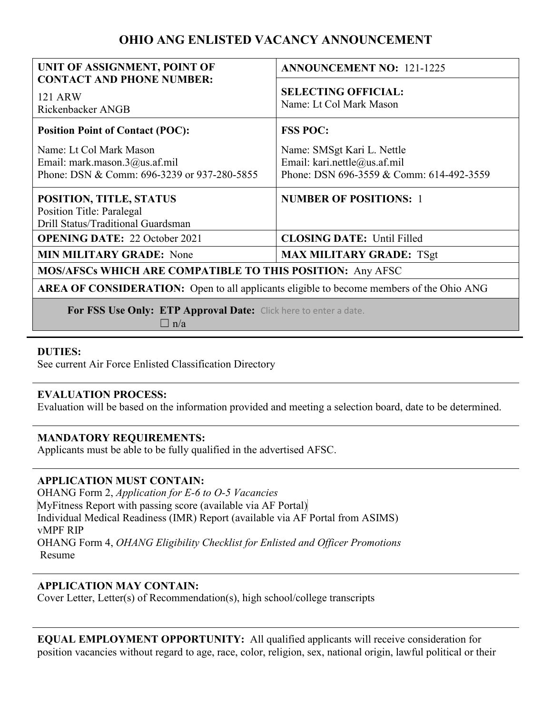# **OHIO ANG ENLISTED VACANCY ANNOUNCEMENT**

| UNIT OF ASSIGNMENT, POINT OF<br><b>CONTACT AND PHONE NUMBER:</b>                                            | <b>ANNOUNCEMENT NO: 121-1225</b>                                                                       |
|-------------------------------------------------------------------------------------------------------------|--------------------------------------------------------------------------------------------------------|
| <b>121 ARW</b><br>Rickenbacker ANGB                                                                         | <b>SELECTING OFFICIAL:</b><br>Name: Lt Col Mark Mason                                                  |
| <b>Position Point of Contact (POC):</b>                                                                     | <b>FSS POC:</b>                                                                                        |
| Name: Lt Col Mark Mason<br>Email: mark.mason. $3@$ us.af.mil<br>Phone: DSN & Comm: 696-3239 or 937-280-5855 | Name: SMSgt Kari L. Nettle<br>Email: kari.nettle@us.af.mil<br>Phone: DSN 696-3559 & Comm: 614-492-3559 |
| POSITION, TITLE, STATUS<br>Position Title: Paralegal<br>Drill Status/Traditional Guardsman                  | <b>NUMBER OF POSITIONS: 1</b>                                                                          |
| <b>OPENING DATE: 22 October 2021</b>                                                                        | <b>CLOSING DATE: Until Filled</b>                                                                      |
| <b>MIN MILITARY GRADE:</b> None                                                                             | <b>MAX MILITARY GRADE: TSgt</b>                                                                        |
| MOS/AFSCs WHICH ARE COMPATIBLE TO THIS POSITION: Any AFSC                                                   |                                                                                                        |
| <b>AREA OF CONSIDERATION:</b> Open to all applicants eligible to become members of the Ohio ANG             |                                                                                                        |
| For FSS Use Only: ETP Approval Date: Click here to enter a date.                                            |                                                                                                        |

 $\Box$  n/a

### **DUTIES:**

See current Air Force Enlisted Classification Directory

#### **EVALUATION PROCESS:**

Evaluation will be based on the information provided and meeting a selection board, date to be determined.

#### **MANDATORY REQUIREMENTS:**

Applicants must be able to be fully qualified in the advertised AFSC.

# **APPLICATION MUST CONTAIN:**

OHANG Form 2, *Application for E-6 to O-5 Vacancies*  MyFitness Report with passing score (available via AF Portal) Individual Medical Readiness (IMR) Report (available via AF Portal from ASIMS) vMPF RIP OHANG Form 4, *OHANG Eligibility Checklist for Enlisted and Officer Promotions*  Resume

# **APPLICATION MAY CONTAIN:**

Cover Letter, Letter(s) of Recommendation(s), high school/college transcripts

**EQUAL EMPLOYMENT OPPORTUNITY:** All qualified applicants will receive consideration for position vacancies without regard to age, race, color, religion, sex, national origin, lawful political or their